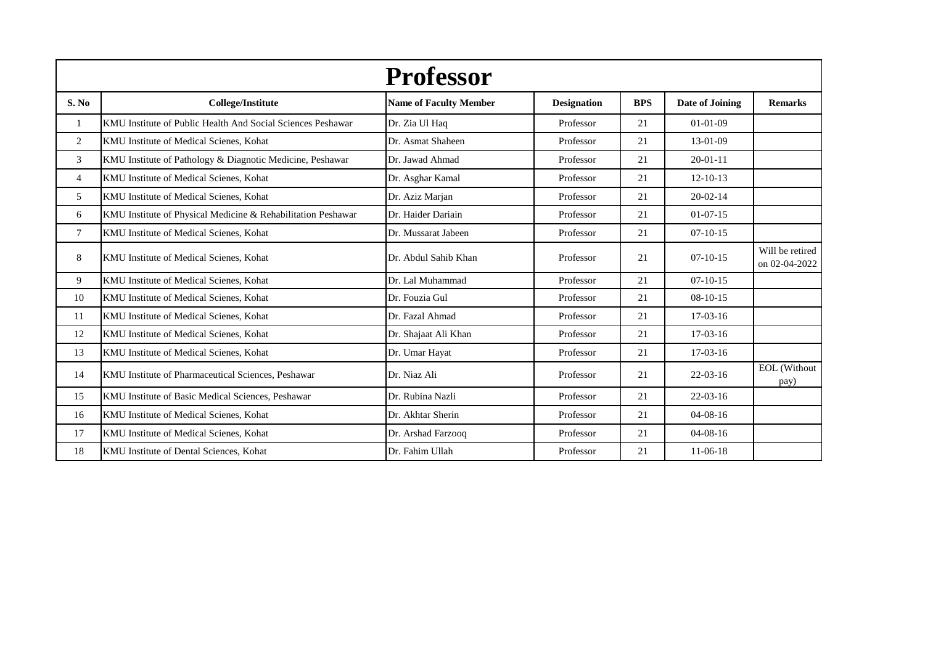|                |                                                              | <b>Professor</b>              |                    |            |                 |                                  |
|----------------|--------------------------------------------------------------|-------------------------------|--------------------|------------|-----------------|----------------------------------|
| S. No          | <b>College/Institute</b>                                     | <b>Name of Faculty Member</b> | <b>Designation</b> | <b>BPS</b> | Date of Joining | <b>Remarks</b>                   |
| $\mathbf{1}$   | KMU Institute of Public Health And Social Sciences Peshawar  | Dr. Zia Ul Haq                | Professor          | 21         | $01 - 01 - 09$  |                                  |
| 2              | KMU Institute of Medical Scienes, Kohat                      | Dr. Asmat Shaheen             | Professor          | 21         | 13-01-09        |                                  |
| 3              | KMU Institute of Pathology & Diagnotic Medicine, Peshawar    | Dr. Jawad Ahmad               | Professor          | 21         | $20 - 01 - 11$  |                                  |
| $\overline{4}$ | KMU Institute of Medical Scienes, Kohat                      | Dr. Asghar Kamal              | Professor          | 21         | $12 - 10 - 13$  |                                  |
| 5              | KMU Institute of Medical Scienes, Kohat                      | Dr. Aziz Marjan               | Professor          | 21         | $20 - 02 - 14$  |                                  |
| 6              | KMU Institute of Physical Medicine & Rehabilitation Peshawar | Dr. Haider Dariain            | Professor          | 21         | $01-07-15$      |                                  |
| 7              | KMU Institute of Medical Scienes, Kohat                      | Dr. Mussarat Jabeen           | Professor          | 21         | $07-10-15$      |                                  |
| 8              | KMU Institute of Medical Scienes, Kohat                      | Dr. Abdul Sahib Khan          | Professor          | 21         | $07-10-15$      | Will be retired<br>on 02-04-2022 |
| 9              | KMU Institute of Medical Scienes, Kohat                      | Dr. Lal Muhammad              | Professor          | 21         | $07 - 10 - 15$  |                                  |
| 10             | KMU Institute of Medical Scienes, Kohat                      | Dr. Fouzia Gul                | Professor          | 21         | $08-10-15$      |                                  |
| 11             | KMU Institute of Medical Scienes, Kohat                      | Dr. Fazal Ahmad               | Professor          | 21         | $17-03-16$      |                                  |
| 12             | KMU Institute of Medical Scienes, Kohat                      | Dr. Shajaat Ali Khan          | Professor          | 21         | $17-03-16$      |                                  |
| 13             | KMU Institute of Medical Scienes, Kohat                      | Dr. Umar Hayat                | Professor          | 21         | $17-03-16$      |                                  |
| 14             | KMU Institute of Pharmaceutical Sciences, Peshawar           | Dr. Niaz Ali                  | Professor          | 21         | $22 - 03 - 16$  | EOL (Without<br>pay)             |
| 15             | KMU Institute of Basic Medical Sciences, Peshawar            | Dr. Rubina Nazli              | Professor          | 21         | $22 - 03 - 16$  |                                  |
| 16             | KMU Institute of Medical Scienes, Kohat                      | Dr. Akhtar Sherin             | Professor          | 21         | $04 - 08 - 16$  |                                  |
| 17             | KMU Institute of Medical Scienes, Kohat                      | Dr. Arshad Farzooq            | Professor          | 21         | $04 - 08 - 16$  |                                  |
| 18             | KMU Institute of Dental Sciences, Kohat                      | Dr. Fahim Ullah               | Professor          | 21         | $11-06-18$      |                                  |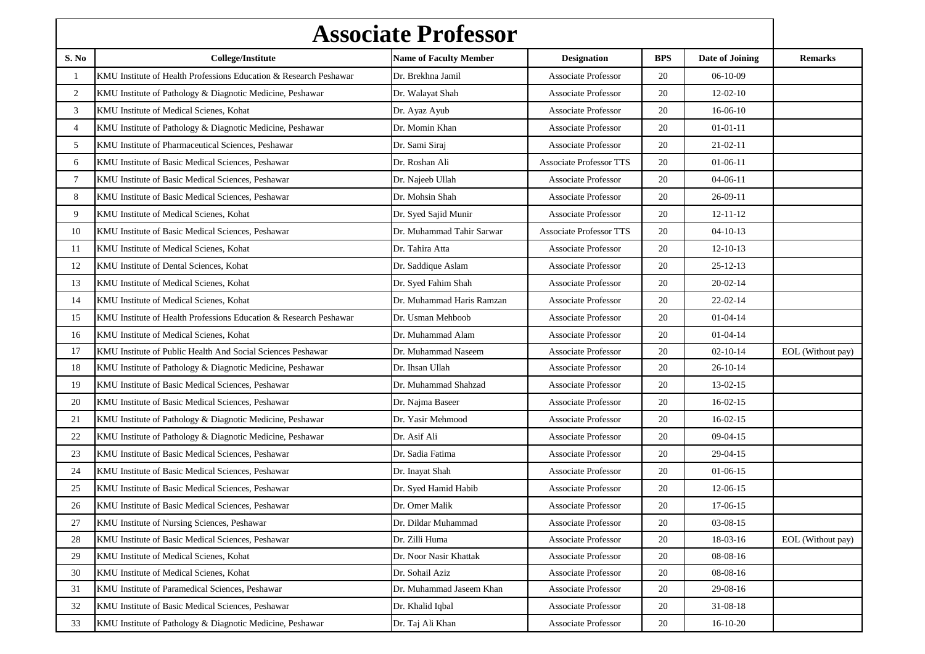| <b>Associate Professor</b> |                                                                   |                               |                                  |            |                 |                   |
|----------------------------|-------------------------------------------------------------------|-------------------------------|----------------------------------|------------|-----------------|-------------------|
| S. No                      | <b>College/Institute</b>                                          | <b>Name of Faculty Member</b> | <b>Designation</b>               | <b>BPS</b> | Date of Joining | <b>Remarks</b>    |
| 1                          | KMU Institute of Health Professions Education & Research Peshawar | Dr. Brekhna Jamil             | <b>Associate Professor</b>       | 20         | $06-10-09$      |                   |
| $\overline{2}$             | KMU Institute of Pathology & Diagnotic Medicine, Peshawar         | Dr. Walayat Shah              | <b>Associate Professor</b>       | 20         | $12-02-10$      |                   |
| 3                          | KMU Institute of Medical Scienes, Kohat                           | Dr. Ayaz Ayub                 | <b>Associate Professor</b><br>20 |            | $16-06-10$      |                   |
| $\overline{4}$             | KMU Institute of Pathology & Diagnotic Medicine, Peshawar         | Dr. Momin Khan                | <b>Associate Professor</b>       | 20         | $01 - 01 - 11$  |                   |
| 5                          | KMU Institute of Pharmaceutical Sciences, Peshawar                | Dr. Sami Siraj                | <b>Associate Professor</b>       | 20         | $21 - 02 - 11$  |                   |
| 6                          | KMU Institute of Basic Medical Sciences, Peshawar                 | Dr. Roshan Ali                | <b>Associate Professor TTS</b>   | 20         | $01-06-11$      |                   |
| $\tau$                     | KMU Institute of Basic Medical Sciences, Peshawar                 | Dr. Najeeb Ullah              | <b>Associate Professor</b>       | 20         | $04 - 06 - 11$  |                   |
| 8                          | KMU Institute of Basic Medical Sciences, Peshawar                 | Dr. Mohsin Shah               | <b>Associate Professor</b>       | 20         | $26-09-11$      |                   |
| 9                          | KMU Institute of Medical Scienes, Kohat                           | Dr. Syed Sajid Munir          | <b>Associate Professor</b>       | 20         | $12 - 11 - 12$  |                   |
| 10                         | KMU Institute of Basic Medical Sciences, Peshawar                 | Dr. Muhammad Tahir Sarwar     | <b>Associate Professor TTS</b>   | 20         | $04 - 10 - 13$  |                   |
| 11                         | KMU Institute of Medical Scienes, Kohat                           | Dr. Tahira Atta               | <b>Associate Professor</b>       | 20         | $12 - 10 - 13$  |                   |
| 12                         | KMU Institute of Dental Sciences, Kohat                           | Dr. Saddique Aslam            | Associate Professor              | 20         | $25 - 12 - 13$  |                   |
| 13                         | KMU Institute of Medical Scienes, Kohat                           | Dr. Syed Fahim Shah           | <b>Associate Professor</b>       | 20         | $20 - 02 - 14$  |                   |
| 14                         | KMU Institute of Medical Scienes, Kohat                           | Dr. Muhammad Haris Ramzan     | <b>Associate Professor</b>       | 20         | $22 - 02 - 14$  |                   |
| 15                         | KMU Institute of Health Professions Education & Research Peshawar | Dr. Usman Mehboob             | <b>Associate Professor</b>       | 20         | $01 - 04 - 14$  |                   |
| 16                         | KMU Institute of Medical Scienes, Kohat                           | Dr. Muhammad Alam             | <b>Associate Professor</b>       | 20         | $01 - 04 - 14$  |                   |
| 17                         | KMU Institute of Public Health And Social Sciences Peshawar       | Dr. Muhammad Naseem           | <b>Associate Professor</b>       | 20         | $02 - 10 - 14$  | EOL (Without pay) |
| 18                         | KMU Institute of Pathology & Diagnotic Medicine, Peshawar         | Dr. Ihsan Ullah               | <b>Associate Professor</b>       | 20         | $26 - 10 - 14$  |                   |
| 19                         | KMU Institute of Basic Medical Sciences, Peshawar                 | Dr. Muhammad Shahzad          | <b>Associate Professor</b>       | 20         | $13-02-15$      |                   |
| 20                         | KMU Institute of Basic Medical Sciences, Peshawar                 | Dr. Najma Baseer              | <b>Associate Professor</b>       | 20         | $16-02-15$      |                   |
| 21                         | KMU Institute of Pathology & Diagnotic Medicine, Peshawar         | Dr. Yasir Mehmood             | <b>Associate Professor</b>       | 20         | $16-02-15$      |                   |
| 22                         | KMU Institute of Pathology & Diagnotic Medicine, Peshawar         | Dr. Asif Ali                  | <b>Associate Professor</b>       | 20         | $09-04-15$      |                   |
| 23                         | KMU Institute of Basic Medical Sciences, Peshawar                 | Dr. Sadia Fatima              | <b>Associate Professor</b>       | 20         | 29-04-15        |                   |
| 24                         | KMU Institute of Basic Medical Sciences, Peshawar                 | Dr. Inayat Shah               | <b>Associate Professor</b>       | 20         | $01-06-15$      |                   |
| 25                         | KMU Institute of Basic Medical Sciences, Peshawar                 | Dr. Syed Hamid Habib          | Associate Professor              | 20         | 12-06-15        |                   |
| 26                         | KMU Institute of Basic Medical Sciences, Peshawar                 | Dr. Omer Malik                | <b>Associate Professor</b>       | 20         | 17-06-15        |                   |
| 27                         | KMU Institute of Nursing Sciences, Peshawar                       | Dr. Dildar Muhammad           | Associate Professor              | 20         | 03-08-15        |                   |
| 28                         | KMU Institute of Basic Medical Sciences, Peshawar                 | Dr. Zilli Huma                | <b>Associate Professor</b>       | 20         | 18-03-16        | EOL (Without pay) |
| 29                         | KMU Institute of Medical Scienes, Kohat                           | Dr. Noor Nasir Khattak        | <b>Associate Professor</b>       | 20         | 08-08-16        |                   |
| 30                         | KMU Institute of Medical Scienes, Kohat                           | Dr. Sohail Aziz               | <b>Associate Professor</b>       | 20         | 08-08-16        |                   |
| 31                         | KMU Institute of Paramedical Sciences, Peshawar                   | Dr. Muhammad Jaseem Khan      | <b>Associate Professor</b>       | 20         | 29-08-16        |                   |
| 32                         | KMU Institute of Basic Medical Sciences, Peshawar                 | Dr. Khalid Iqbal              | <b>Associate Professor</b>       | 20         | $31 - 08 - 18$  |                   |
| 33                         | KMU Institute of Pathology & Diagnotic Medicine, Peshawar         | Dr. Taj Ali Khan              | <b>Associate Professor</b>       | $20\,$     | $16-10-20$      |                   |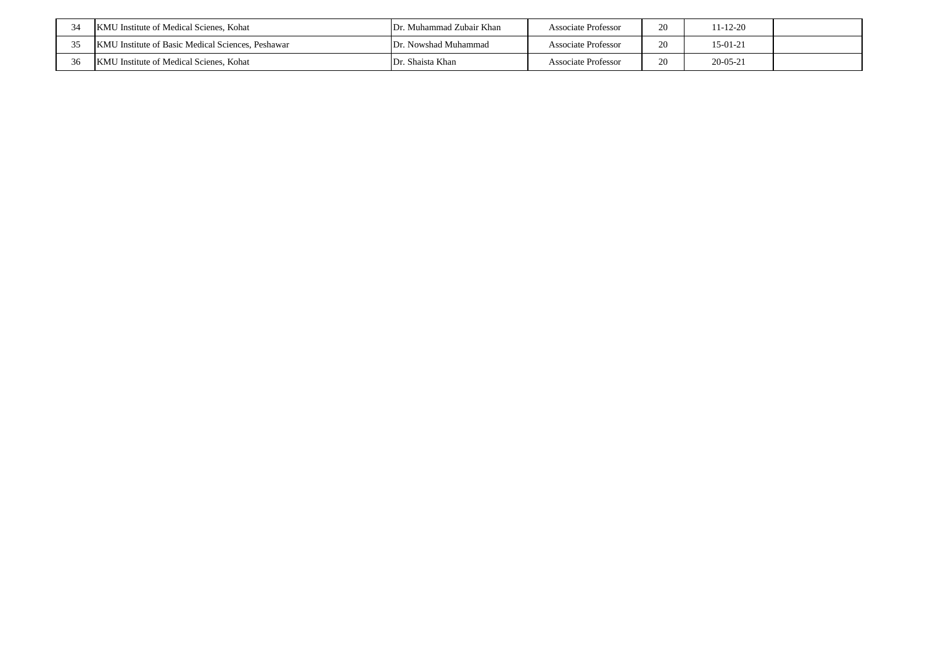|    | KMU Institute of Medical Scienes, Kohat                  | Dr. Muhammad Zubair Khan | Associate Professor        | 20 | 11-12-20       |  |
|----|----------------------------------------------------------|--------------------------|----------------------------|----|----------------|--|
| 25 | <b>KMU</b> Institute of Basic Medical Sciences, Peshawar | Dr. Nowshad Muhammad     | Associate Professor        | 20 | $15-01-21$     |  |
| 36 | KM<br>U Institute of Medical Scienes. Kohat              | Dr. Shaista Khan         | <b>Associate Professor</b> | 20 | $20 - 05 - 21$ |  |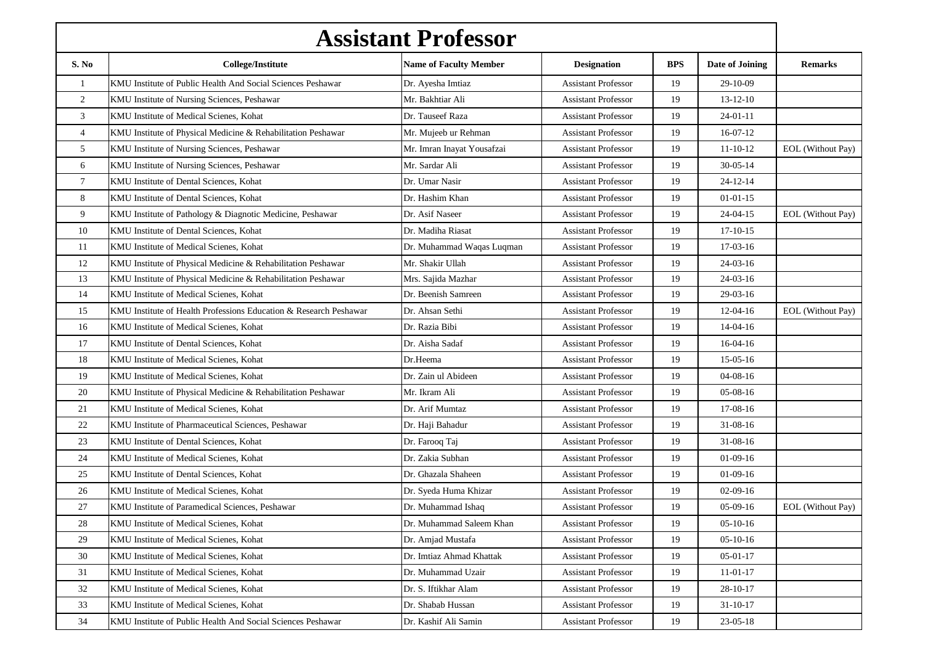| <b>Assistant Professor</b> |                                                                   |                               |                            |            |                 |                          |
|----------------------------|-------------------------------------------------------------------|-------------------------------|----------------------------|------------|-----------------|--------------------------|
| S. No                      | <b>College/Institute</b>                                          | <b>Name of Faculty Member</b> | <b>Designation</b>         | <b>BPS</b> | Date of Joining | <b>Remarks</b>           |
| $\mathbf{1}$               | KMU Institute of Public Health And Social Sciences Peshawar       | Dr. Ayesha Imtiaz             | <b>Assistant Professor</b> | 19         | 29-10-09        |                          |
| $\sqrt{2}$                 | KMU Institute of Nursing Sciences, Peshawar                       | Mr. Bakhtiar Ali              | <b>Assistant Professor</b> | 19         | $13 - 12 - 10$  |                          |
| 3                          | KMU Institute of Medical Scienes, Kohat                           | Dr. Tauseef Raza              | <b>Assistant Professor</b> | 19         | $24 - 01 - 11$  |                          |
| $\overline{4}$             | KMU Institute of Physical Medicine & Rehabilitation Peshawar      | Mr. Mujeeb ur Rehman          | <b>Assistant Professor</b> | 19         | $16-07-12$      |                          |
| 5                          | KMU Institute of Nursing Sciences, Peshawar                       | Mr. Imran Inayat Yousafzai    | <b>Assistant Professor</b> | 19         | $11 - 10 - 12$  | EOL (Without Pay)        |
| 6                          | KMU Institute of Nursing Sciences, Peshawar                       | Mr. Sardar Ali                | <b>Assistant Professor</b> | 19         | $30 - 05 - 14$  |                          |
| 7                          | KMU Institute of Dental Sciences, Kohat                           | Dr. Umar Nasir                | <b>Assistant Professor</b> | 19         | $24 - 12 - 14$  |                          |
| 8                          | KMU Institute of Dental Sciences, Kohat                           | Dr. Hashim Khan               | <b>Assistant Professor</b> | 19         | $01 - 01 - 15$  |                          |
| 9                          | KMU Institute of Pathology & Diagnotic Medicine, Peshawar         | Dr. Asif Naseer               | <b>Assistant Professor</b> | 19         | $24 - 04 - 15$  | <b>EOL</b> (Without Pay) |
| 10                         | KMU Institute of Dental Sciences, Kohat                           | Dr. Madiha Riasat             | <b>Assistant Professor</b> | 19         | $17-10-15$      |                          |
| 11                         | KMU Institute of Medical Scienes, Kohat                           | Dr. Muhammad Waqas Luqman     | <b>Assistant Professor</b> | 19         | $17-03-16$      |                          |
| 12                         | KMU Institute of Physical Medicine & Rehabilitation Peshawar      | Mr. Shakir Ullah              | <b>Assistant Professor</b> | 19         | $24-03-16$      |                          |
| 13                         | KMU Institute of Physical Medicine & Rehabilitation Peshawar      | Mrs. Sajida Mazhar            | <b>Assistant Professor</b> | 19         | $24-03-16$      |                          |
| 14                         | KMU Institute of Medical Scienes, Kohat                           | Dr. Beenish Samreen           | <b>Assistant Professor</b> | 19         | 29-03-16        |                          |
| 15                         | KMU Institute of Health Professions Education & Research Peshawar | Dr. Ahsan Sethi               | <b>Assistant Professor</b> | 19         | $12-04-16$      | EOL (Without Pay)        |
| 16                         | KMU Institute of Medical Scienes, Kohat                           | Dr. Razia Bibi                | <b>Assistant Professor</b> | 19         | $14-04-16$      |                          |
| 17                         | KMU Institute of Dental Sciences, Kohat                           | Dr. Aisha Sadaf               | <b>Assistant Professor</b> | 19         | $16-04-16$      |                          |
| 18                         | KMU Institute of Medical Scienes, Kohat                           | Dr.Heema                      | <b>Assistant Professor</b> | 19         | $15-05-16$      |                          |
| 19                         | KMU Institute of Medical Scienes, Kohat                           | Dr. Zain ul Abideen           | <b>Assistant Professor</b> | 19         | $04-08-16$      |                          |
| 20                         | KMU Institute of Physical Medicine & Rehabilitation Peshawar      | Mr. Ikram Ali                 | <b>Assistant Professor</b> | 19         | $05-08-16$      |                          |
| 21                         | KMU Institute of Medical Scienes, Kohat                           | Dr. Arif Mumtaz               | <b>Assistant Professor</b> | 19         | 17-08-16        |                          |
| 22                         | KMU Institute of Pharmaceutical Sciences, Peshawar                | Dr. Haji Bahadur              | <b>Assistant Professor</b> | 19         | 31-08-16        |                          |
| 23                         | KMU Institute of Dental Sciences, Kohat                           | Dr. Farooq Taj                | <b>Assistant Professor</b> | 19         | $31 - 08 - 16$  |                          |
| 24                         | KMU Institute of Medical Scienes, Kohat                           | Dr. Zakia Subhan              | <b>Assistant Professor</b> | 19         | $01-09-16$      |                          |
| 25                         | KMU Institute of Dental Sciences, Kohat                           | Dr. Ghazala Shaheen           | <b>Assistant Professor</b> | 19         | $01-09-16$      |                          |
| 26                         | KMU Institute of Medical Scienes, Kohat                           | Dr. Syeda Huma Khizar         | <b>Assistant Professor</b> | 19         | $02-09-16$      |                          |
| 27                         | KMU Institute of Paramedical Sciences, Peshawar                   | Dr. Muhammad Ishaq            | <b>Assistant Professor</b> | 19         | $05-09-16$      | EOL (Without Pay)        |
| 28                         | KMU Institute of Medical Scienes, Kohat                           | Dr. Muhammad Saleem Khan      | <b>Assistant Professor</b> | 19         | $05-10-16$      |                          |
| 29                         | KMU Institute of Medical Scienes, Kohat                           | Dr. Amjad Mustafa             | <b>Assistant Professor</b> | 19         | $05-10-16$      |                          |
| 30                         | KMU Institute of Medical Scienes, Kohat                           | Dr. Imtiaz Ahmad Khattak      | <b>Assistant Professor</b> | 19         | $05-01-17$      |                          |
| 31                         | KMU Institute of Medical Scienes, Kohat                           | Dr. Muhammad Uzair            | <b>Assistant Professor</b> | 19         | $11-01-17$      |                          |
| 32                         | KMU Institute of Medical Scienes, Kohat                           | Dr. S. Iftikhar Alam          | <b>Assistant Professor</b> | 19         | $28 - 10 - 17$  |                          |
| 33                         | KMU Institute of Medical Scienes, Kohat                           | Dr. Shabab Hussan             | <b>Assistant Professor</b> | 19         | $31 - 10 - 17$  |                          |
| 34                         | KMU Institute of Public Health And Social Sciences Peshawar       | Dr. Kashif Ali Samin          | <b>Assistant Professor</b> | 19         | $23 - 05 - 18$  |                          |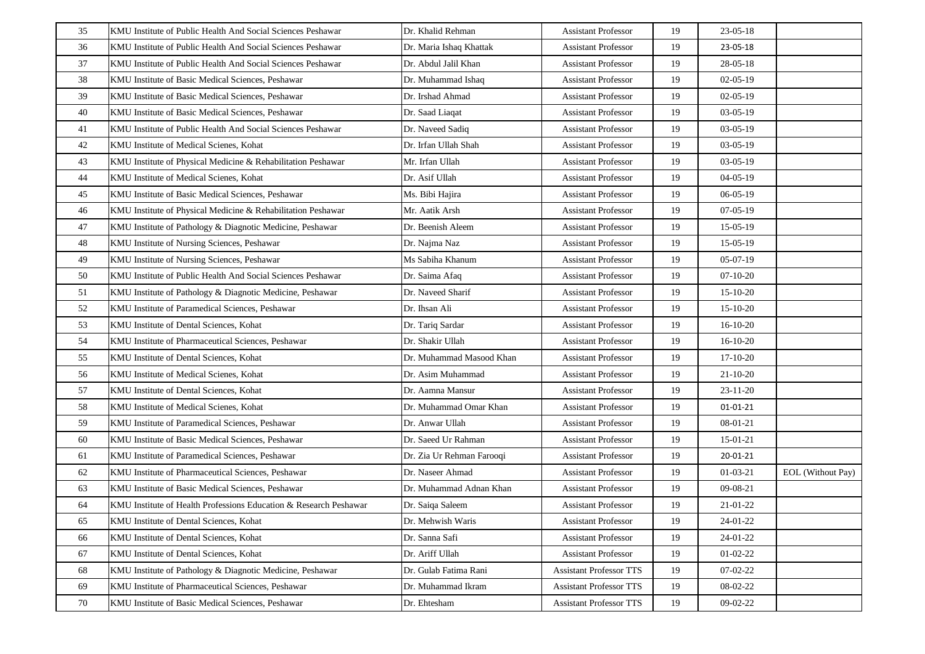| 35 | KMU Institute of Public Health And Social Sciences Peshawar       | Dr. Khalid Rehman         | <b>Assistant Professor</b>     | 19 | 23-05-18       |                          |
|----|-------------------------------------------------------------------|---------------------------|--------------------------------|----|----------------|--------------------------|
| 36 | KMU Institute of Public Health And Social Sciences Peshawar       | Dr. Maria Ishaq Khattak   | <b>Assistant Professor</b>     | 19 | 23-05-18       |                          |
| 37 | KMU Institute of Public Health And Social Sciences Peshawar       | Dr. Abdul Jalil Khan      | <b>Assistant Professor</b>     | 19 | 28-05-18       |                          |
| 38 | KMU Institute of Basic Medical Sciences, Peshawar                 | Dr. Muhammad Ishaq        | <b>Assistant Professor</b>     | 19 | $02-05-19$     |                          |
| 39 | KMU Institute of Basic Medical Sciences, Peshawar                 | Dr. Irshad Ahmad          | <b>Assistant Professor</b>     | 19 | $02-05-19$     |                          |
| 40 | KMU Institute of Basic Medical Sciences, Peshawar                 | Dr. Saad Liaqat           | <b>Assistant Professor</b>     | 19 | $03-05-19$     |                          |
| 41 | KMU Institute of Public Health And Social Sciences Peshawar       | Dr. Naveed Sadiq          | <b>Assistant Professor</b>     | 19 | $03-05-19$     |                          |
| 42 | KMU Institute of Medical Scienes, Kohat                           | Dr. Irfan Ullah Shah      | <b>Assistant Professor</b>     | 19 | $03-05-19$     |                          |
| 43 | KMU Institute of Physical Medicine & Rehabilitation Peshawar      | Mr. Irfan Ullah           | <b>Assistant Professor</b>     | 19 | $03-05-19$     |                          |
| 44 | KMU Institute of Medical Scienes, Kohat                           | Dr. Asif Ullah            | <b>Assistant Professor</b>     | 19 | $04-05-19$     |                          |
| 45 | KMU Institute of Basic Medical Sciences, Peshawar                 | Ms. Bibi Hajira           | <b>Assistant Professor</b>     | 19 | $06-05-19$     |                          |
| 46 | KMU Institute of Physical Medicine & Rehabilitation Peshawar      | Mr. Aatik Arsh            | <b>Assistant Professor</b>     | 19 | $07-05-19$     |                          |
| 47 | KMU Institute of Pathology & Diagnotic Medicine, Peshawar         | Dr. Beenish Aleem         | <b>Assistant Professor</b>     | 19 | $15-05-19$     |                          |
| 48 | KMU Institute of Nursing Sciences, Peshawar                       | Dr. Najma Naz             | <b>Assistant Professor</b>     | 19 | $15-05-19$     |                          |
| 49 | KMU Institute of Nursing Sciences, Peshawar                       | Ms Sabiha Khanum          | <b>Assistant Professor</b>     | 19 | $05-07-19$     |                          |
| 50 | KMU Institute of Public Health And Social Sciences Peshawar       | Dr. Saima Afaq            | <b>Assistant Professor</b>     | 19 | $07-10-20$     |                          |
| 51 | KMU Institute of Pathology & Diagnotic Medicine, Peshawar         | Dr. Naveed Sharif         | <b>Assistant Professor</b>     | 19 | $15-10-20$     |                          |
| 52 | KMU Institute of Paramedical Sciences, Peshawar                   | Dr. Ihsan Ali             | <b>Assistant Professor</b>     | 19 | $15-10-20$     |                          |
| 53 | KMU Institute of Dental Sciences, Kohat                           | Dr. Tariq Sardar          | <b>Assistant Professor</b>     | 19 | 16-10-20       |                          |
| 54 | KMU Institute of Pharmaceutical Sciences, Peshawar                | Dr. Shakir Ullah          | <b>Assistant Professor</b>     | 19 | $16-10-20$     |                          |
| 55 | KMU Institute of Dental Sciences, Kohat                           | Dr. Muhammad Masood Khan  | <b>Assistant Professor</b>     | 19 | $17-10-20$     |                          |
| 56 | KMU Institute of Medical Scienes, Kohat                           | Dr. Asim Muhammad         | <b>Assistant Professor</b>     | 19 | $21 - 10 - 20$ |                          |
| 57 | KMU Institute of Dental Sciences, Kohat                           | Dr. Aamna Mansur          | <b>Assistant Professor</b>     | 19 | $23 - 11 - 20$ |                          |
| 58 | KMU Institute of Medical Scienes, Kohat                           | Dr. Muhammad Omar Khan    | <b>Assistant Professor</b>     | 19 | 01-01-21       |                          |
| 59 | KMU Institute of Paramedical Sciences, Peshawar                   | Dr. Anwar Ullah           | <b>Assistant Professor</b>     | 19 | 08-01-21       |                          |
| 60 | KMU Institute of Basic Medical Sciences, Peshawar                 | Dr. Saeed Ur Rahman       | <b>Assistant Professor</b>     | 19 | 15-01-21       |                          |
| 61 | KMU Institute of Paramedical Sciences, Peshawar                   | Dr. Zia Ur Rehman Farooqi | <b>Assistant Professor</b>     | 19 | 20-01-21       |                          |
| 62 | KMU Institute of Pharmaceutical Sciences, Peshawar                | Dr. Naseer Ahmad          | <b>Assistant Professor</b>     | 19 | $01-03-21$     | <b>EOL</b> (Without Pay) |
| 63 | KMU Institute of Basic Medical Sciences, Peshawar                 | Dr. Muhammad Adnan Khan   | <b>Assistant Professor</b>     | 19 | 09-08-21       |                          |
| 64 | KMU Institute of Health Professions Education & Research Peshawar | Dr. Saiqa Saleem          | <b>Assistant Professor</b>     | 19 | 21-01-22       |                          |
| 65 | KMU Institute of Dental Sciences, Kohat                           | Dr. Mehwish Waris         | <b>Assistant Professor</b>     | 19 | 24-01-22       |                          |
| 66 | KMU Institute of Dental Sciences, Kohat                           | Dr. Sanna Safi            | <b>Assistant Professor</b>     | 19 | 24-01-22       |                          |
| 67 | KMU Institute of Dental Sciences, Kohat                           | Dr. Ariff Ullah           | <b>Assistant Professor</b>     | 19 | $01-02-22$     |                          |
| 68 | KMU Institute of Pathology & Diagnotic Medicine, Peshawar         | Dr. Gulab Fatima Rani     | <b>Assistant Professor TTS</b> | 19 | $07-02-22$     |                          |
| 69 | KMU Institute of Pharmaceutical Sciences, Peshawar                | Dr. Muhammad Ikram        | <b>Assistant Professor TTS</b> | 19 | 08-02-22       |                          |
| 70 | KMU Institute of Basic Medical Sciences, Peshawar                 | Dr. Ehtesham              | <b>Assistant Professor TTS</b> | 19 | 09-02-22       |                          |